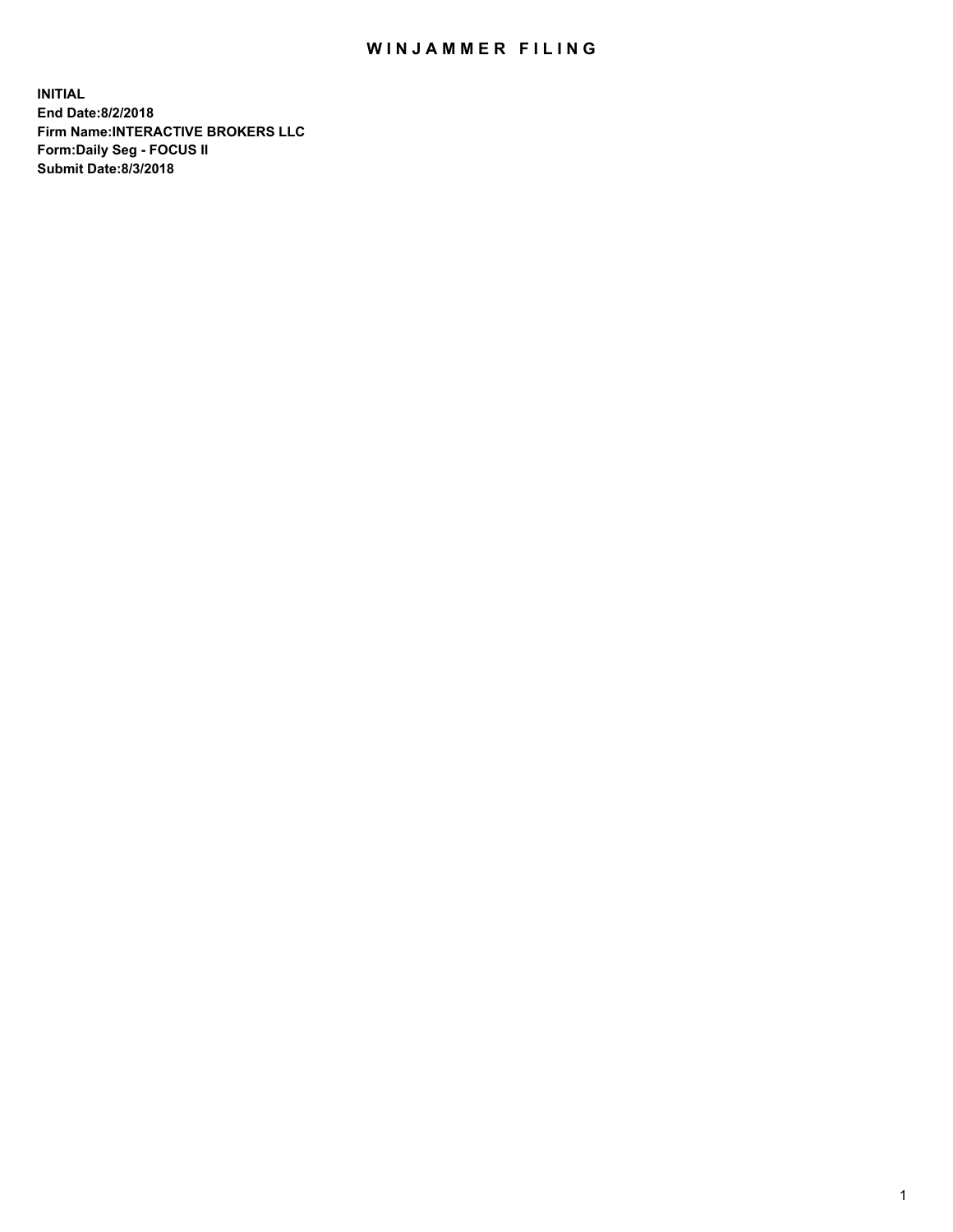## WIN JAMMER FILING

**INITIAL End Date:8/2/2018 Firm Name:INTERACTIVE BROKERS LLC Form:Daily Seg - FOCUS II Submit Date:8/3/2018**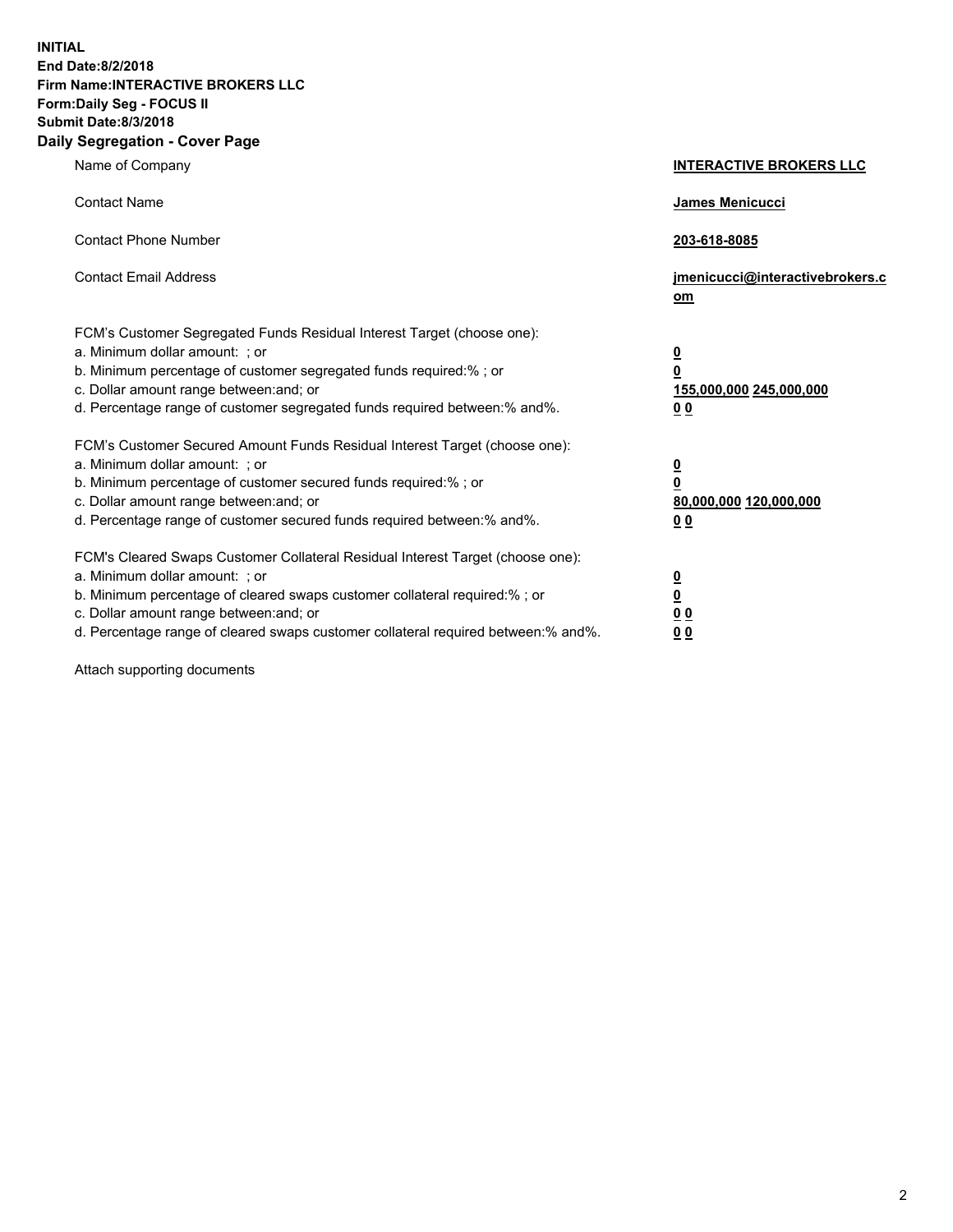**INITIAL End Date:8/2/2018 Firm Name:INTERACTIVE BROKERS LLC Form:Daily Seg - FOCUS II Submit Date:8/3/2018 Daily Segregation - Cover Page**

| Name of Company                                                                                                                                                                                                                                                                                                                | <b>INTERACTIVE BROKERS LLC</b>                                                                  |
|--------------------------------------------------------------------------------------------------------------------------------------------------------------------------------------------------------------------------------------------------------------------------------------------------------------------------------|-------------------------------------------------------------------------------------------------|
| <b>Contact Name</b>                                                                                                                                                                                                                                                                                                            | James Menicucci                                                                                 |
| <b>Contact Phone Number</b>                                                                                                                                                                                                                                                                                                    | 203-618-8085                                                                                    |
| <b>Contact Email Address</b>                                                                                                                                                                                                                                                                                                   | jmenicucci@interactivebrokers.c<br>$om$                                                         |
| FCM's Customer Segregated Funds Residual Interest Target (choose one):<br>a. Minimum dollar amount: ; or<br>b. Minimum percentage of customer segregated funds required:% ; or<br>c. Dollar amount range between: and; or<br>d. Percentage range of customer segregated funds required between:% and%.                         | $\overline{\mathbf{0}}$<br>$\overline{\mathbf{0}}$<br>155,000,000 245,000,000<br>0 <sub>0</sub> |
| FCM's Customer Secured Amount Funds Residual Interest Target (choose one):<br>a. Minimum dollar amount: ; or<br>b. Minimum percentage of customer secured funds required:%; or<br>c. Dollar amount range between: and; or<br>d. Percentage range of customer secured funds required between:% and%.                            | $\overline{\mathbf{0}}$<br>0<br>80,000,000 120,000,000<br>0 <sub>0</sub>                        |
| FCM's Cleared Swaps Customer Collateral Residual Interest Target (choose one):<br>a. Minimum dollar amount: ; or<br>b. Minimum percentage of cleared swaps customer collateral required:% ; or<br>c. Dollar amount range between: and; or<br>d. Percentage range of cleared swaps customer collateral required between:% and%. | $\frac{0}{0}$<br>0 <sub>0</sub><br>0 <sub>0</sub>                                               |

Attach supporting documents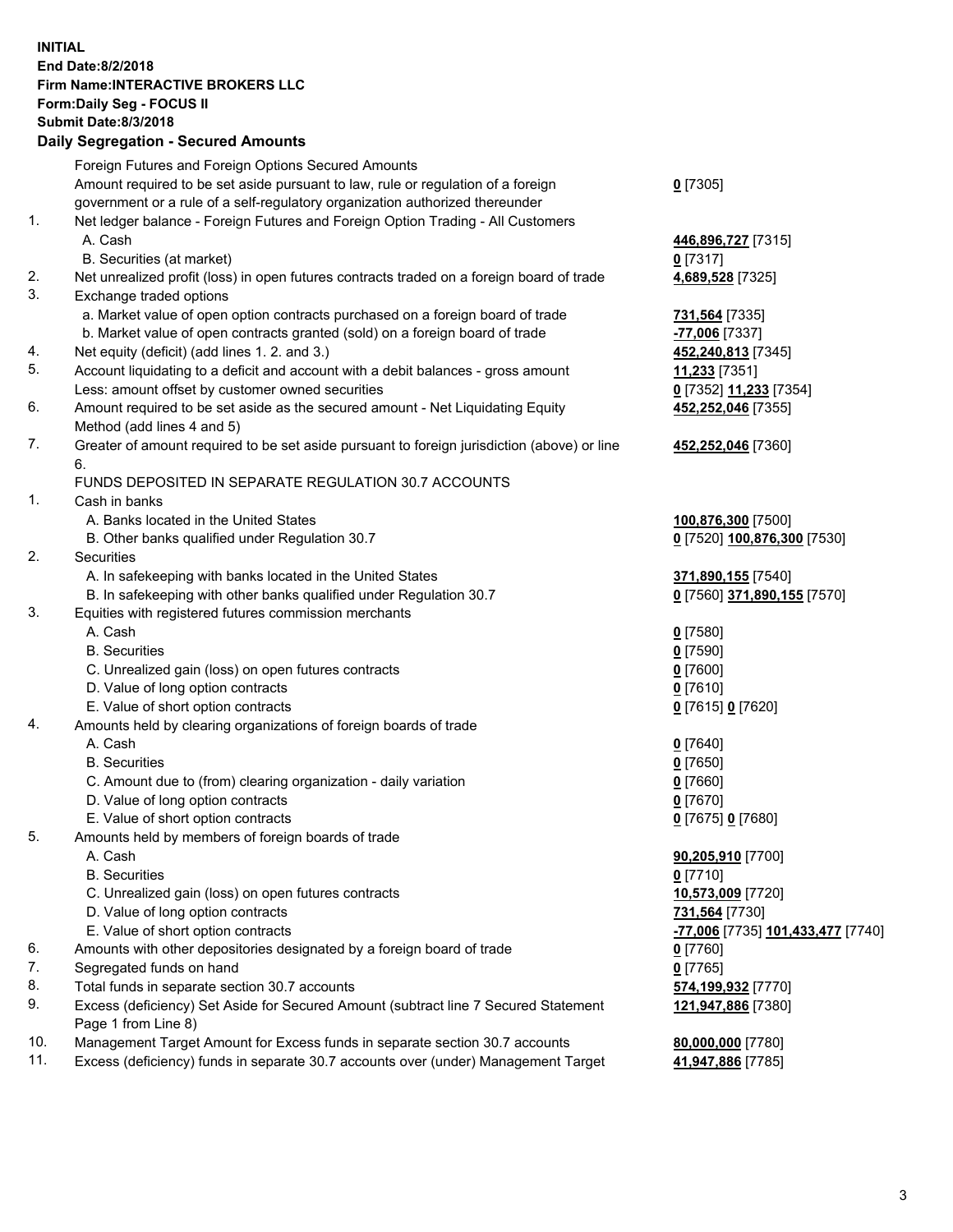## **INITIAL End Date:8/2/2018 Firm Name:INTERACTIVE BROKERS LLC Form:Daily Seg - FOCUS II Submit Date:8/3/2018 Daily Segregation - Secured Amounts**

|                | Foreign Futures and Foreign Options Secured Amounts                                               |                                                |
|----------------|---------------------------------------------------------------------------------------------------|------------------------------------------------|
|                | Amount required to be set aside pursuant to law, rule or regulation of a foreign                  | $0$ [7305]                                     |
|                | government or a rule of a self-regulatory organization authorized thereunder                      |                                                |
| $\mathbf{1}$ . | Net ledger balance - Foreign Futures and Foreign Option Trading - All Customers                   |                                                |
|                | A. Cash                                                                                           | 446,896,727 [7315]                             |
|                | B. Securities (at market)                                                                         | $0$ [7317]                                     |
| 2.             | Net unrealized profit (loss) in open futures contracts traded on a foreign board of trade         | 4,689,528 [7325]                               |
| 3.             | Exchange traded options                                                                           |                                                |
|                | a. Market value of open option contracts purchased on a foreign board of trade                    | 731,564 [7335]                                 |
|                | b. Market value of open contracts granted (sold) on a foreign board of trade                      | -77,006 [7337]                                 |
| 4.             | Net equity (deficit) (add lines 1.2. and 3.)                                                      | 452,240,813 [7345]                             |
| 5.             | Account liquidating to a deficit and account with a debit balances - gross amount                 | 11,233 [7351]                                  |
|                | Less: amount offset by customer owned securities                                                  | 0 [7352] 11,233 [7354]                         |
| 6.             | Amount required to be set aside as the secured amount - Net Liquidating Equity                    | 452,252,046 [7355]                             |
|                | Method (add lines 4 and 5)                                                                        |                                                |
| 7.             | Greater of amount required to be set aside pursuant to foreign jurisdiction (above) or line<br>6. | 452,252,046 [7360]                             |
|                | FUNDS DEPOSITED IN SEPARATE REGULATION 30.7 ACCOUNTS                                              |                                                |
| $\mathbf{1}$ . | Cash in banks                                                                                     |                                                |
|                | A. Banks located in the United States                                                             | 100,876,300 [7500]                             |
|                | B. Other banks qualified under Regulation 30.7                                                    | 0 [7520] 100,876,300 [7530]                    |
| 2.             | Securities                                                                                        |                                                |
|                | A. In safekeeping with banks located in the United States                                         | 371,890,155 [7540]                             |
|                | B. In safekeeping with other banks qualified under Regulation 30.7                                | 0 [7560] 371,890,155 [7570]                    |
| 3.             | Equities with registered futures commission merchants                                             |                                                |
|                | A. Cash                                                                                           | $0$ [7580]                                     |
|                | <b>B.</b> Securities                                                                              | $0$ [7590]                                     |
|                | C. Unrealized gain (loss) on open futures contracts                                               | $0$ [7600]                                     |
|                | D. Value of long option contracts                                                                 | $0$ [7610]                                     |
|                | E. Value of short option contracts                                                                | 0 [7615] 0 [7620]                              |
| 4.             | Amounts held by clearing organizations of foreign boards of trade                                 |                                                |
|                | A. Cash                                                                                           | $0$ [7640]                                     |
|                | <b>B.</b> Securities                                                                              | $0$ [7650]                                     |
|                | C. Amount due to (from) clearing organization - daily variation                                   | $0$ [7660]                                     |
|                | D. Value of long option contracts                                                                 | $0$ [7670]                                     |
|                | E. Value of short option contracts                                                                | 0 [7675] 0 [7680]                              |
| 5.             | Amounts held by members of foreign boards of trade                                                |                                                |
|                | A. Cash                                                                                           | 90,205,910 [7700]                              |
|                | <b>B.</b> Securities                                                                              | $0$ [7710]                                     |
|                | C. Unrealized gain (loss) on open futures contracts                                               | 10,573,009 [7720]                              |
|                | D. Value of long option contracts                                                                 | 731,564 [7730]                                 |
|                | E. Value of short option contracts                                                                | <mark>-77,006</mark> [7735] 101,433,477 [7740] |
| 6.             | Amounts with other depositories designated by a foreign board of trade                            | $0$ [7760]                                     |
| 7.             | Segregated funds on hand                                                                          | $0$ [7765]                                     |
| 8.             | Total funds in separate section 30.7 accounts                                                     | 574,199,932 [7770]                             |
| 9.             | Excess (deficiency) Set Aside for Secured Amount (subtract line 7 Secured Statement               | 121,947,886 [7380]                             |
|                | Page 1 from Line 8)                                                                               |                                                |
| 10.            | Management Target Amount for Excess funds in separate section 30.7 accounts                       | 80,000,000 [7780]                              |
| 11.            | Excess (deficiency) funds in separate 30.7 accounts over (under) Management Target                | 41,947,886 [7785]                              |
|                |                                                                                                   |                                                |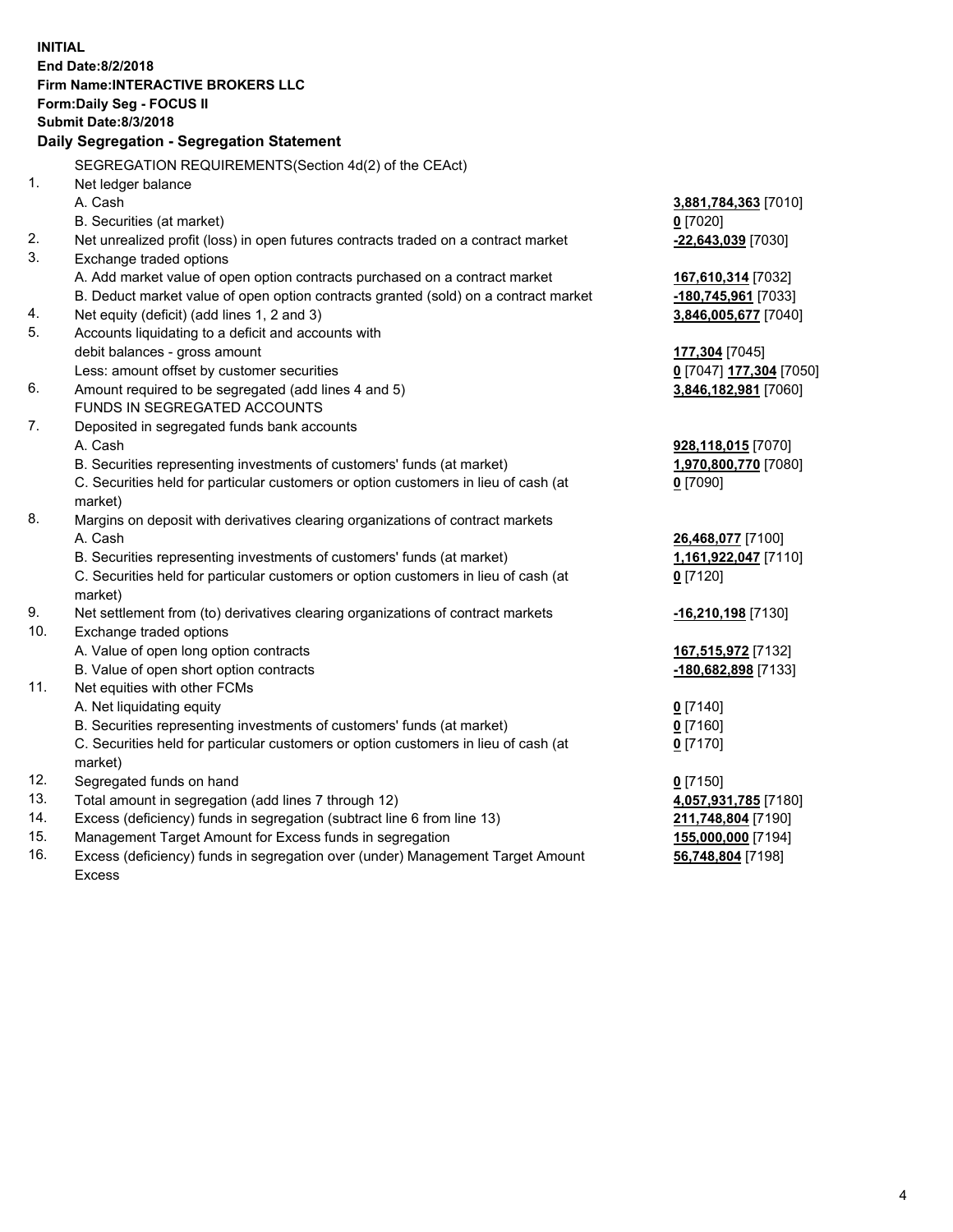**INITIAL End Date:8/2/2018 Firm Name:INTERACTIVE BROKERS LLC Form:Daily Seg - FOCUS II Submit Date:8/3/2018 Daily Segregation - Segregation Statement** SEGREGATION REQUIREMENTS(Section 4d(2) of the CEAct) 1. Net ledger balance A. Cash **3,881,784,363** [7010] B. Securities (at market) **0** [7020] 2. Net unrealized profit (loss) in open futures contracts traded on a contract market **-22,643,039** [7030] 3. Exchange traded options A. Add market value of open option contracts purchased on a contract market **167,610,314** [7032] B. Deduct market value of open option contracts granted (sold) on a contract market **-180,745,961** [7033] 4. Net equity (deficit) (add lines 1, 2 and 3) **3,846,005,677** [7040] 5. Accounts liquidating to a deficit and accounts with debit balances - gross amount **177,304** [7045] Less: amount offset by customer securities **0** [7047] **177,304** [7050] 6. Amount required to be segregated (add lines 4 and 5) **3,846,182,981** [7060] FUNDS IN SEGREGATED ACCOUNTS 7. Deposited in segregated funds bank accounts A. Cash **928,118,015** [7070] B. Securities representing investments of customers' funds (at market) **1,970,800,770** [7080] C. Securities held for particular customers or option customers in lieu of cash (at market) **0** [7090] 8. Margins on deposit with derivatives clearing organizations of contract markets A. Cash **26,468,077** [7100] B. Securities representing investments of customers' funds (at market) **1,161,922,047** [7110] C. Securities held for particular customers or option customers in lieu of cash (at market) **0** [7120] 9. Net settlement from (to) derivatives clearing organizations of contract markets **-16,210,198** [7130] 10. Exchange traded options A. Value of open long option contracts **167,515,972** [7132] B. Value of open short option contracts **-180,682,898** [7133] 11. Net equities with other FCMs A. Net liquidating equity **0** [7140] B. Securities representing investments of customers' funds (at market) **0** [7160] C. Securities held for particular customers or option customers in lieu of cash (at market) **0** [7170] 12. Segregated funds on hand **0** [7150] 13. Total amount in segregation (add lines 7 through 12) **4,057,931,785** [7180] 14. Excess (deficiency) funds in segregation (subtract line 6 from line 13) **211,748,804** [7190] 15. Management Target Amount for Excess funds in segregation **155,000,000** [7194] 16. Excess (deficiency) funds in segregation over (under) Management Target Amount **56,748,804** [7198]

Excess